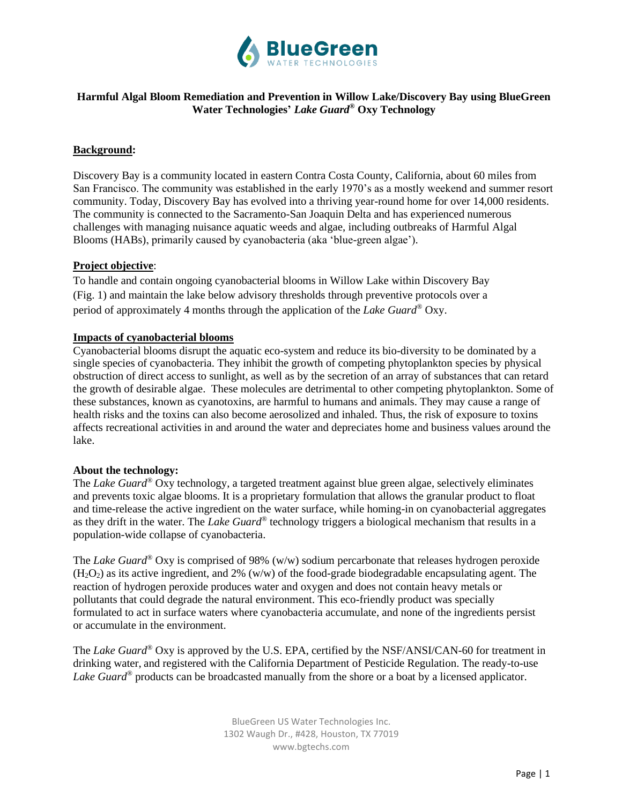

# **Harmful Algal Bloom Remediation and Prevention in Willow Lake/Discovery Bay using BlueGreen Water Technologies'** *Lake Guard®* **Oxy Technology**

## **Background:**

Discovery Bay is a community located in eastern Contra Costa County, California, about 60 miles from San Francisco. The community was established in the early 1970's as a mostly weekend and summer resort community. Today, Discovery Bay has evolved into a thriving year-round home for over 14,000 residents. The community is connected to the Sacramento-San Joaquin Delta and has experienced numerous challenges with managing nuisance aquatic weeds and algae, including outbreaks of Harmful Algal Blooms (HABs), primarily caused by cyanobacteria (aka 'blue-green algae').

### **Project objective**:

To handle and contain ongoing cyanobacterial blooms in Willow Lake within Discovery Bay (Fig. 1) and maintain the lake below advisory thresholds through preventive protocols over a period of approximately 4 months through the application of the *Lake Guard®* Oxy.

## **Impacts of cyanobacterial blooms**

Cyanobacterial blooms disrupt the aquatic eco-system and reduce its bio-diversity to be dominated by a single species of cyanobacteria. They inhibit the growth of competing phytoplankton species by physical obstruction of direct access to sunlight, as well as by the secretion of an array of substances that can retard the growth of desirable algae. These molecules are detrimental to other competing phytoplankton. Some of these substances, known as cyanotoxins, are harmful to humans and animals. They may cause a range of health risks and the toxins can also become aerosolized and inhaled. Thus, the risk of exposure to toxins affects recreational activities in and around the water and depreciates home and business values around the lake.

#### **About the technology:**

The *Lake Guard®* Oxy technology, a targeted treatment against blue green algae, selectively eliminates and prevents toxic algae blooms. It is a proprietary formulation that allows the granular product to float and time-release the active ingredient on the water surface, while homing-in on cyanobacterial aggregates as they drift in the water. The *Lake Guard®* technology triggers a biological mechanism that results in a population-wide collapse of cyanobacteria.

The *Lake Guard®* Oxy is comprised of 98% (w/w) sodium percarbonate that releases hydrogen peroxide  $(H<sub>2</sub>O<sub>2</sub>)$  as its active ingredient, and 2% (w/w) of the food-grade biodegradable encapsulating agent. The reaction of hydrogen peroxide produces water and oxygen and does not contain heavy metals or pollutants that could degrade the natural environment. This eco-friendly product was specially formulated to act in surface waters where cyanobacteria accumulate, and none of the ingredients persist or accumulate in the environment.

The *Lake Guard®* Oxy is approved by the U.S. EPA, certified by the NSF/ANSI/CAN-60 for treatment in drinking water, and registered with the California Department of Pesticide Regulation. The ready-to-use *Lake Guard®* products can be broadcasted manually from the shore or a boat by a licensed applicator.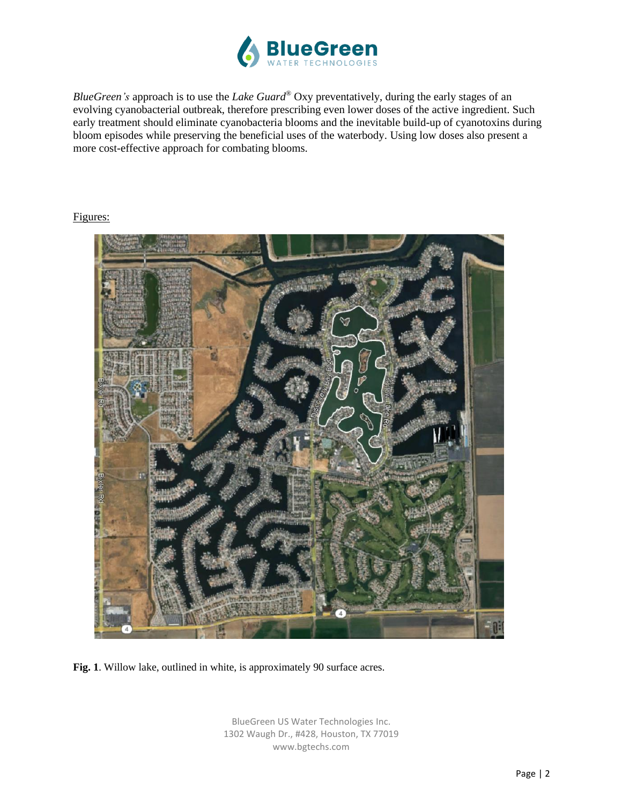

*BlueGreen's* approach is to use the *Lake Guard®* Oxy preventatively, during the early stages of an evolving cyanobacterial outbreak, therefore prescribing even lower doses of the active ingredient. Such early treatment should eliminate cyanobacteria blooms and the inevitable build-up of cyanotoxins during bloom episodes while preserving the beneficial uses of the waterbody. Using low doses also present a more cost-effective approach for combating blooms.

## Figures:



**Fig. 1**. Willow lake, outlined in white, is approximately 90 surface acres.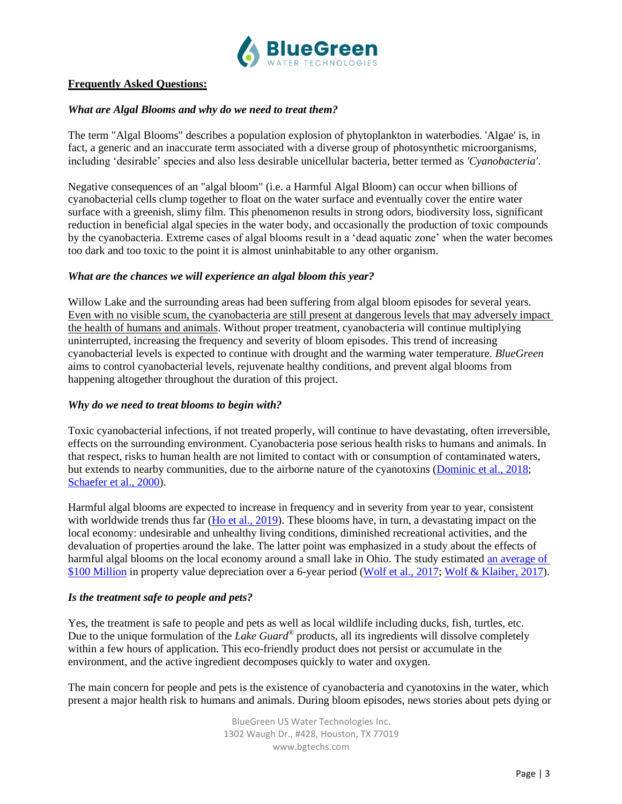

## **Frequently Asked Questions:**

### *What are Algal Blooms and why do we need to treat them?*

The term "Algal Blooms" describes a population explosion of phytoplankton in waterbodies. 'Algae' is, in fact, a generic and an inaccurate term associated with a diverse group of photosynthetic microorganisms, including 'desirable' species and also less desirable unicellular bacteria, better termed as *'Cyanobacteria'*.

Negative consequences of an "algal bloom" (i.e. a Harmful Algal Bloom) can occur when billions of cyanobacterial cells clump together to float on the water surface and eventually cover the entire water surface with a greenish, slimy film. This phenomenon results in strong odors, biodiversity loss, significant reduction in beneficial algal species in the water body, and occasionally the production of toxic compounds by the cyanobacteria. Extreme cases of algal blooms result in a 'dead aquatic zone' when the water becomes too dark and too toxic to the point it is almost uninhabitable to any other organism.

### *What are the chances we will experience an algal bloom this year?*

Willow Lake and the surrounding areas had been suffering from algal bloom episodes for several years. Even with no visible scum, the cyanobacteria are still present at dangerous levels that may adversely impact the health of humans and animals. Without proper treatment, cyanobacteria will continue multiplying uninterrupted, increasing the frequency and severity of bloom episodes. This trend of increasing cyanobacterial levels is expected to continue with drought and the warming water temperature. *BlueGreen* aims to control cyanobacterial levels, rejuvenate healthy conditions, and prevent algal blooms from happening altogether throughout the duration of this project.

#### *Why do we need to treat blooms to begin with?*

Toxic cyanobacterial infections, if not treated properly, will continue to have devastating, often irreversible, effects on the surrounding environment. Cyanobacteria pose serious health risks to humans and animals. In that respect, risks to human health are not limited to contact with or consumption of contaminated waters, but extends to nearby communities, due to the airborne nature of the cyanotoxins [\(Dominic et al., 2018;](https://www.sciencedirect.com/science/article/pii/S0048969718327189) [Schaefer et al., 2000\)](https://pubmed.ncbi.nlm.nih.gov/32113588/).

Harmful algal blooms are expected to increase in frequency and in severity from year to year, consistent with worldwide trends thus far [\(Ho et al., 2019\)](https://www.nature.com/articles/s41586-019-1648-7). These blooms have, in turn, a devastating impact on the local economy: undesirable and unhealthy living conditions, diminished recreational activities, and the devaluation of properties around the lake. The latter point was emphasized in a study about the effects of harmful algal blooms on the local economy around a small lake in Ohio. The study estimated [an average of](https://radio.wosu.org/post/algae-blooms-cost-buckeye-lake-homeowners-more-100-million#stream/0)  [\\$100 Million](https://radio.wosu.org/post/algae-blooms-cost-buckeye-lake-homeowners-more-100-million#stream/0) in property value depreciation over a 6-year period [\(Wolf et al., 2017;](https://www.sciencedirect.com/science/article/pii/S0301479717304905?via%3Dihub) [Wolf & Klaiber, 2017\)](https://www.sciencedirect.com/science/article/abs/pii/S0921800916305031?via%3Dihub).

## *Is the treatment safe to people and pets?*

Yes, the treatment is safe to people and pets as well as local wildlife including ducks, fish, turtles, etc. Due to the unique formulation of the *Lake Guard®* products, all its ingredients will dissolve completely within a few hours of application. This eco-friendly product does not persist or accumulate in the environment, and the active ingredient decomposes quickly to water and oxygen.

The main concern for people and pets is the existence of cyanobacteria and cyanotoxins in the water, which present a major health risk to humans and animals. During bloom episodes, news stories about pets dying or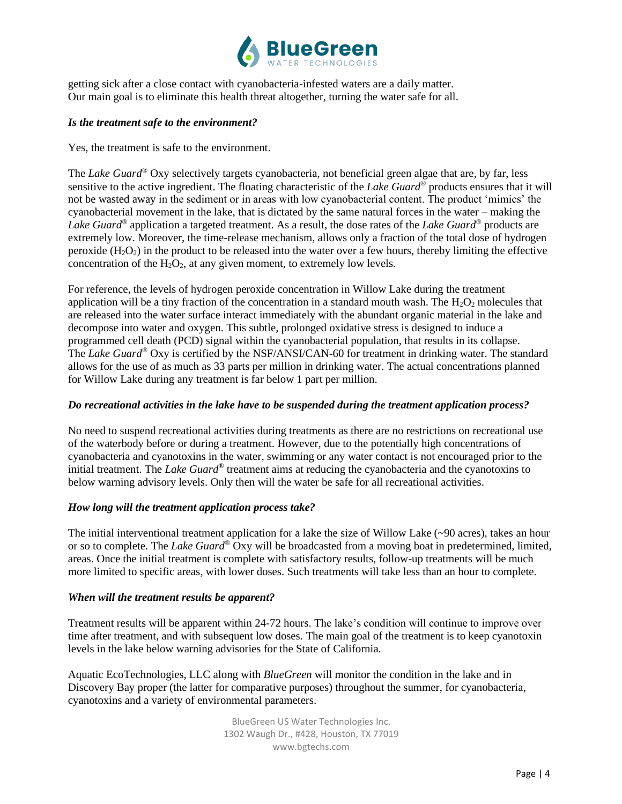

getting sick after a close contact with cyanobacteria-infested waters are a daily matter. Our main goal is to eliminate this health threat altogether, turning the water safe for all.

## *Is the treatment safe to the environment?*

Yes, the treatment is safe to the environment.

The *Lake Guard®* Oxy selectively targets cyanobacteria, not beneficial green algae that are, by far, less sensitive to the active ingredient. The floating characteristic of the *Lake Guard®* products ensures that it will not be wasted away in the sediment or in areas with low cyanobacterial content. The product 'mimics' the cyanobacterial movement in the lake, that is dictated by the same natural forces in the water – making the *Lake Guard®* application a targeted treatment. As a result, the dose rates of the *Lake Guard®* products are extremely low. Moreover, the time-release mechanism, allows only a fraction of the total dose of hydrogen peroxide  $(H_2O_2)$  in the product to be released into the water over a few hours, thereby limiting the effective concentration of the  $H_2O_2$ , at any given moment, to extremely low levels.

For reference, the levels of hydrogen peroxide concentration in Willow Lake during the treatment application will be a tiny fraction of the concentration in a standard mouth wash. The  $H_2O_2$  molecules that are released into the water surface interact immediately with the abundant organic material in the lake and decompose into water and oxygen. This subtle, prolonged oxidative stress is designed to induce a programmed cell death (PCD) signal within the cyanobacterial population, that results in its collapse. The *Lake Guard®* Oxy is certified by the NSF/ANSI/CAN-60 for treatment in drinking water. The standard allows for the use of as much as 33 parts per million in drinking water. The actual concentrations planned for Willow Lake during any treatment is far below 1 part per million.

## *Do recreational activities in the lake have to be suspended during the treatment application process?*

No need to suspend recreational activities during treatments as there are no restrictions on recreational use of the waterbody before or during a treatment. However, due to the potentially high concentrations of cyanobacteria and cyanotoxins in the water, swimming or any water contact is not encouraged prior to the initial treatment. The *Lake Guard*<sup>®</sup> treatment aims at reducing the cyanobacteria and the cyanotoxins to below warning advisory levels. Only then will the water be safe for all recreational activities.

## *How long will the treatment application process take?*

The initial interventional treatment application for a lake the size of Willow Lake (~90 acres), takes an hour or so to complete. The *Lake Guard®* Oxy will be broadcasted from a moving boat in predetermined, limited, areas. Once the initial treatment is complete with satisfactory results, follow-up treatments will be much more limited to specific areas, with lower doses. Such treatments will take less than an hour to complete.

## *When will the treatment results be apparent?*

Treatment results will be apparent within 24-72 hours. The lake's condition will continue to improve over time after treatment, and with subsequent low doses. The main goal of the treatment is to keep cyanotoxin levels in the lake below warning advisories for the State of California.

Aquatic EcoTechnologies, LLC along with *BlueGreen* will monitor the condition in the lake and in Discovery Bay proper (the latter for comparative purposes) throughout the summer, for cyanobacteria, cyanotoxins and a variety of environmental parameters.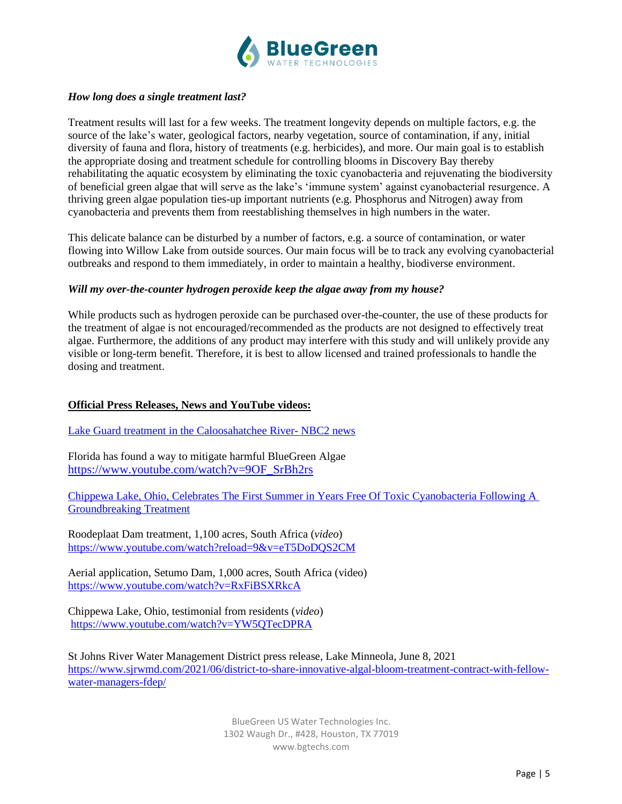

## *How long does a single treatment last?*

Treatment results will last for a few weeks. The treatment longevity depends on multiple factors, e.g. the source of the lake's water, geological factors, nearby vegetation, source of contamination, if any, initial diversity of fauna and flora, history of treatments (e.g. herbicides), and more. Our main goal is to establish the appropriate dosing and treatment schedule for controlling blooms in Discovery Bay thereby rehabilitating the aquatic ecosystem by eliminating the toxic cyanobacteria and rejuvenating the biodiversity of beneficial green algae that will serve as the lake's 'immune system' against cyanobacterial resurgence. A thriving green algae population ties-up important nutrients (e.g. Phosphorus and Nitrogen) away from cyanobacteria and prevents them from reestablishing themselves in high numbers in the water.

This delicate balance can be disturbed by a number of factors, e.g. a source of contamination, or water flowing into Willow Lake from outside sources. Our main focus will be to track any evolving cyanobacterial outbreaks and respond to them immediately, in order to maintain a healthy, biodiverse environment.

### *Will my over-the-counter hydrogen peroxide keep the algae away from my house?*

While products such as hydrogen peroxide can be purchased over-the-counter, the use of these products for the treatment of algae is not encouraged/recommended as the products are not designed to effectively treat algae. Furthermore, the additions of any product may interfere with this study and will unlikely provide any visible or long-term benefit. Therefore, it is best to allow licensed and trained professionals to handle the dosing and treatment.

## **Official Press Releases, News and YouTube videos:**

[Lake Guard treatment in the Caloosahatchee River-](https://bgtechs-my.sharepoint.com/personal/eyal_bgtechs_com/_layouts/15/onedrive.aspx?id=%2Fpersonal%2Feyal%5Fbgtechs%5Fcom%2FDocuments%2FBlueGreen%20Shared%20Media%2FUSA%2FCaloosahatchee%20River%20%28C%2D43%29%2F2105258%20NBC%20Caloosahatchee%20River%2Emp4&parent=%2Fpersonal%2Feyal%5Fbgtechs%5Fcom%2FDocuments%2FBlueGreen%20Shared%20Media%2FUSA%2FCaloosahatchee%20River%20%28C%2D43%29&ct=1648602758009&or=OWA%2DNT&cid=0192eb2f%2Dccbf%2D9653%2D1974%2D939232c2c9a3&ga=1) NBC2 news

Florida has found a way to mitigate harmful BlueGreen Algae [https://www.youtube.com/watch?v=9OF\\_SrBh2rs](https://www.youtube.com/watch?v=9OF_SrBh2rs)

[Chippewa Lake, Ohio, Celebrates The First Summer in Years Free Of Toxic Cyanobacteria Following A](https://www.prnewswire.com/news-releases/chippewa-lake-ohio-celebrates-the-first-summer-in-years-free-of-toxic-cyanobacteria-following-a-groundbreaking-treatment-300923271.html)  [Groundbreaking Treatment](https://www.prnewswire.com/news-releases/chippewa-lake-ohio-celebrates-the-first-summer-in-years-free-of-toxic-cyanobacteria-following-a-groundbreaking-treatment-300923271.html)

Roodeplaat Dam treatment, 1,100 acres, South Africa (*video*) <https://www.youtube.com/watch?reload=9&v=eT5DoDQS2CM>

Aerial application, Setumo Dam, 1,000 acres, South Africa (video) <https://www.youtube.com/watch?v=RxFiBSXRkcA>

Chippewa Lake, Ohio, testimonial from residents (*video*) <https://www.youtube.com/watch?v=YW5QTecDPRA>

St Johns River Water Management District press release, Lake Minneola, June 8, 2021 [https://www.sjrwmd.com/2021/06/district-to-share-innovative-algal-bloom-treatment-contract-with-fellow](https://www.sjrwmd.com/2021/06/district-to-share-innovative-algal-bloom-treatment-contract-with-fellow-water-managers-fdep/)[water-managers-fdep/](https://www.sjrwmd.com/2021/06/district-to-share-innovative-algal-bloom-treatment-contract-with-fellow-water-managers-fdep/)